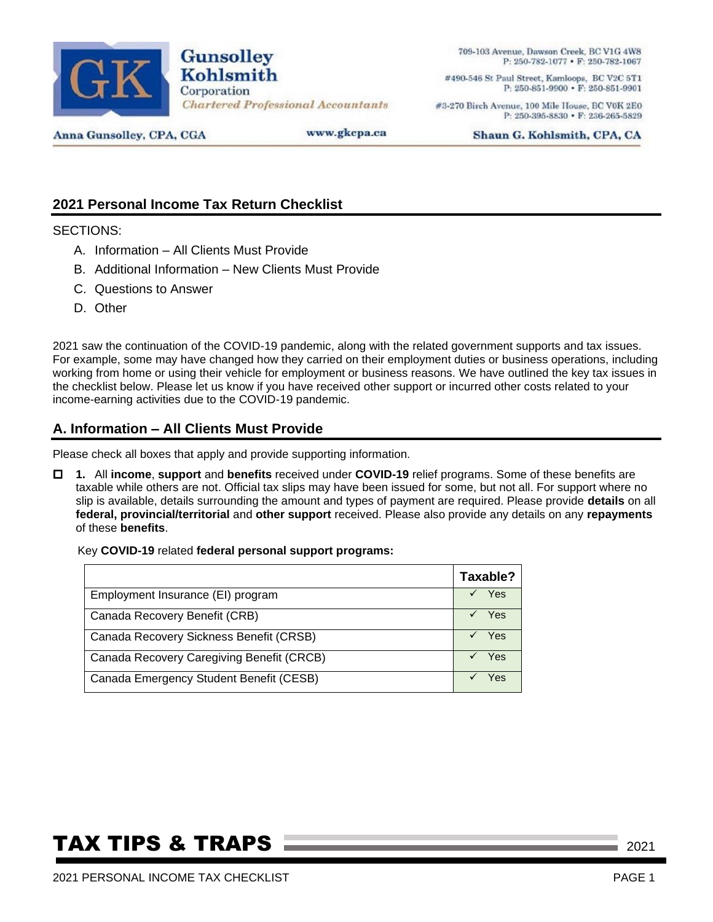

709-103 Avenue, Dawson Creek, BC V1G 4W8 P: 250-782-1077 • F: 250-782-1067

#490-546 St Paul Street, Kamloops, BC V2C 5T1 P: 250-851-9900 • F: 250-851-9901

#3-270 Birch Avenue, 100 Mile House, BC V0K 2E0 P: 250-395-8830 · F: 236-265-5829

Anna Gunsolley, CPA, CGA

www.gkcpa.ca

Shaun G. Kohlsmith, CPA, CA

### **2021 Personal Income Tax Return Checklist**

SECTIONS:

- A. Information All Clients Must Provide
- B. Additional Information New Clients Must Provide
- C. Questions to Answer
- D. Other

2021 saw the continuation of the COVID-19 pandemic, along with the related government supports and tax issues. For example, some may have changed how they carried on their employment duties or business operations, including working from home or using their vehicle for employment or business reasons. We have outlined the key tax issues in the checklist below. Please let us know if you have received other support or incurred other costs related to your income-earning activities due to the COVID-19 pandemic.

#### **A. Information – All Clients Must Provide**

Please check all boxes that apply and provide supporting information.

 **1.** All **income**, **support** and **benefits** received under **COVID-19** relief programs. Some of these benefits are taxable while others are not. Official tax slips may have been issued for some, but not all. For support where no slip is available, details surrounding the amount and types of payment are required. Please provide **details** on all **federal, provincial/territorial** and **other support** received. Please also provide any details on any **repayments** of these **benefits**.

#### Key **COVID-19** related **federal personal support programs:**

|                                           | Taxable?   |
|-------------------------------------------|------------|
| Employment Insurance (EI) program         | Yes        |
| Canada Recovery Benefit (CRB)             | Yes        |
| Canada Recovery Sickness Benefit (CRSB)   | <b>Yes</b> |
| Canada Recovery Caregiving Benefit (CRCB) | Yes        |
| Canada Emergency Student Benefit (CESB)   | Yes        |

## **TAX TIPS & TRAPS 2021** 2021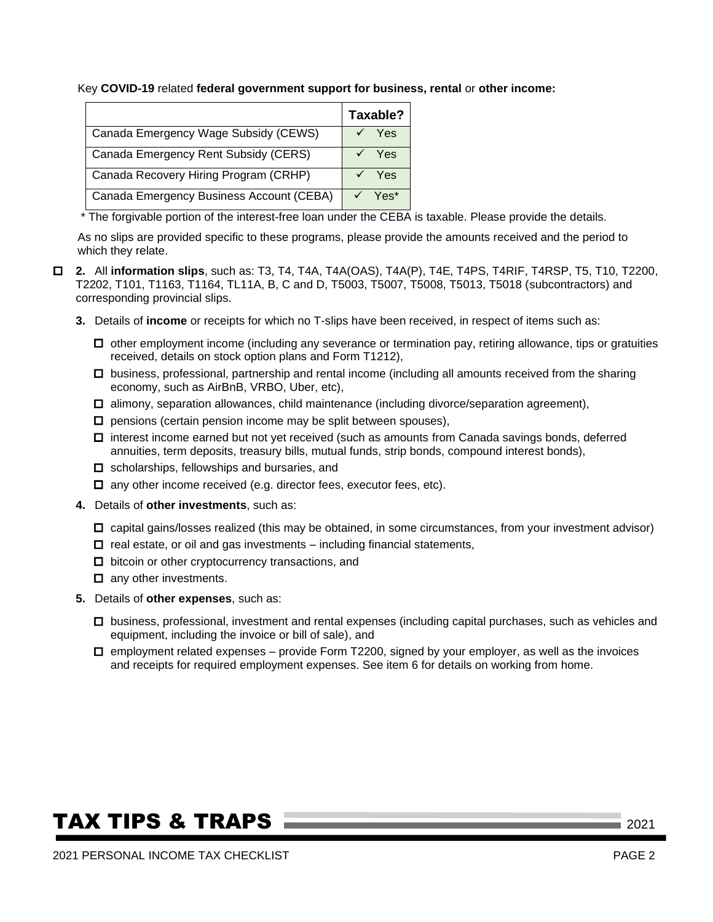Key **COVID-19** related **federal government support for business, rental** or **other income:**

|                                          | Taxable? |  |
|------------------------------------------|----------|--|
| Canada Emergency Wage Subsidy (CEWS)     | Yes      |  |
| Canada Emergency Rent Subsidy (CERS)     | Yes      |  |
| Canada Recovery Hiring Program (CRHP)    | Yes      |  |
| Canada Emergency Business Account (CEBA) | Yes*     |  |

\* The forgivable portion of the interest-free loan under the CEBA is taxable. Please provide the details.

As no slips are provided specific to these programs, please provide the amounts received and the period to which they relate.

- **2.** All **information slips**, such as: T3, T4, T4A, T4A(OAS), T4A(P), T4E, T4PS, T4RIF, T4RSP, T5, T10, T2200, T2202, T101, T1163, T1164, TL11A, B, C and D, T5003, T5007, T5008, T5013, T5018 (subcontractors) and corresponding provincial slips.
	- **3.** Details of **income** or receipts for which no T-slips have been received, in respect of items such as:
		- $\Box$  other employment income (including any severance or termination pay, retiring allowance, tips or gratuities received, details on stock option plans and Form T1212),
		- $\Box$  business, professional, partnership and rental income (including all amounts received from the sharing economy, such as AirBnB, VRBO, Uber, etc),
		- $\Box$  alimony, separation allowances, child maintenance (including divorce/separation agreement),
		- $\square$  pensions (certain pension income may be split between spouses),
		- $\Box$  interest income earned but not yet received (such as amounts from Canada savings bonds, deferred annuities, term deposits, treasury bills, mutual funds, strip bonds, compound interest bonds),
		- $\Box$  scholarships, fellowships and bursaries, and
		- $\Box$  any other income received (e.g. director fees, executor fees, etc).
	- **4.** Details of **other investments**, such as:
		- $\Box$  capital gains/losses realized (this may be obtained, in some circumstances, from your investment advisor)
		- $\Box$  real estate, or oil and gas investments including financial statements,
		- $\Box$  bitcoin or other cryptocurrency transactions, and
		- $\Box$  any other investments.
	- **5.** Details of **other expenses**, such as:
		- business, professional, investment and rental expenses (including capital purchases, such as vehicles and equipment, including the invoice or bill of sale), and
		- $\Box$  employment related expenses provide Form T2200, signed by your employer, as well as the invoices and receipts for required employment expenses. See item 6 for details on working from home.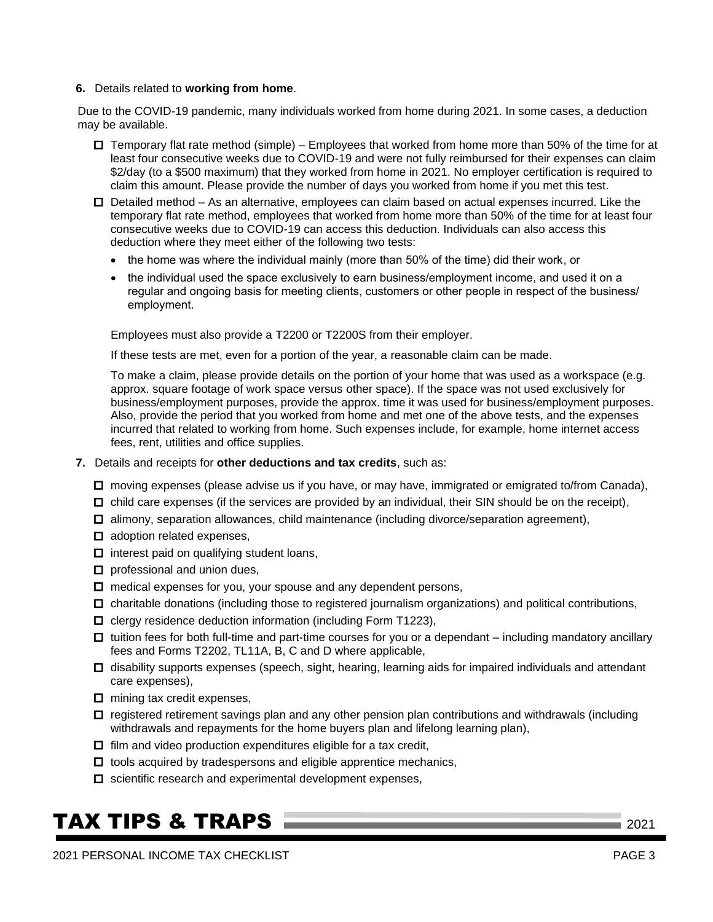#### **6.** Details related to **working from home**.

Due to the COVID-19 pandemic, many individuals worked from home during 2021. In some cases, a deduction may be available.

- $\Box$  Temporary flat rate method (simple) Employees that worked from home more than 50% of the time for at least four consecutive weeks due to COVID-19 and were not fully reimbursed for their expenses can claim \$2/day (to a \$500 maximum) that they worked from home in 2021. No employer certification is required to claim this amount. Please provide the number of days you worked from home if you met this test.
- $\Box$  Detailed method As an alternative, employees can claim based on actual expenses incurred. Like the temporary flat rate method, employees that worked from home more than 50% of the time for at least four consecutive weeks due to COVID-19 can access this deduction. Individuals can also access this deduction where they meet either of the following two tests:
	- the home was where the individual mainly (more than 50% of the time) did their work, or
	- the individual used the space exclusively to earn business/employment income, and used it on a regular and ongoing basis for meeting clients, customers or other people in respect of the business/ employment.

Employees must also provide a T2200 or T2200S from their employer.

If these tests are met, even for a portion of the year, a reasonable claim can be made.

To make a claim, please provide details on the portion of your home that was used as a workspace (e.g. approx. square footage of work space versus other space). If the space was not used exclusively for business/employment purposes, provide the approx. time it was used for business/employment purposes. Also, provide the period that you worked from home and met one of the above tests, and the expenses incurred that related to working from home. Such expenses include, for example, home internet access fees, rent, utilities and office supplies.

- **7.** Details and receipts for **other deductions and tax credits**, such as:
	- □ moving expenses (please advise us if you have, or may have, immigrated or emigrated to/from Canada),
	- $\Box$  child care expenses (if the services are provided by an individual, their SIN should be on the receipt),
	- $\Box$  alimony, separation allowances, child maintenance (including divorce/separation agreement),
	- $\Box$  adoption related expenses,
	- $\Box$  interest paid on qualifying student loans,
	- $\Box$  professional and union dues,
	- $\Box$  medical expenses for you, your spouse and any dependent persons,
	- $\Box$  charitable donations (including those to registered journalism organizations) and political contributions,
	- $\Box$  clergy residence deduction information (including Form T1223),
	- $\Box$  tuition fees for both full-time and part-time courses for you or a dependant including mandatory ancillary fees and Forms T2202, TL11A, B, C and D where applicable,
	- $\Box$  disability supports expenses (speech, sight, hearing, learning aids for impaired individuals and attendant care expenses),
	- $\Box$  mining tax credit expenses,
	- $\Box$  registered retirement savings plan and any other pension plan contributions and withdrawals (including withdrawals and repayments for the home buyers plan and lifelong learning plan),
	- $\Box$  film and video production expenditures eligible for a tax credit,
	- $\Box$  tools acquired by tradespersons and eligible apprentice mechanics,
	- $\square$  scientific research and experimental development expenses,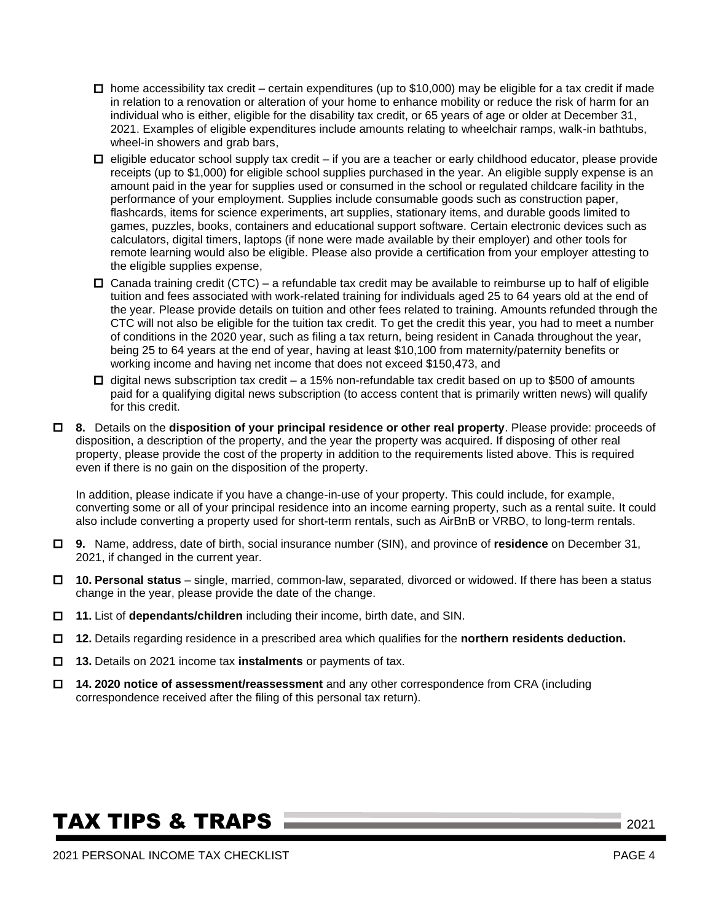- $\Box$  home accessibility tax credit certain expenditures (up to \$10,000) may be eligible for a tax credit if made in relation to a renovation or alteration of your home to enhance mobility or reduce the risk of harm for an individual who is either, eligible for the disability tax credit, or 65 years of age or older at December 31, 2021. Examples of eligible expenditures include amounts relating to wheelchair ramps, walk-in bathtubs, wheel-in showers and grab bars,
- $\Box$  eligible educator school supply tax credit if you are a teacher or early childhood educator, please provide receipts (up to \$1,000) for eligible school supplies purchased in the year. An eligible supply expense is an amount paid in the year for supplies used or consumed in the school or regulated childcare facility in the performance of your employment. Supplies include consumable goods such as construction paper, flashcards, items for science experiments, art supplies, stationary items, and durable goods limited to games, puzzles, books, containers and educational support software. Certain electronic devices such as calculators, digital timers, laptops (if none were made available by their employer) and other tools for remote learning would also be eligible. Please also provide a certification from your employer attesting to the eligible supplies expense,
- $\Box$  Canada training credit (CTC) a refundable tax credit may be available to reimburse up to half of eligible tuition and fees associated with work-related training for individuals aged 25 to 64 years old at the end of the year. Please provide details on tuition and other fees related to training. Amounts refunded through the CTC will not also be eligible for the tuition tax credit. To get the credit this year, you had to meet a number of conditions in the 2020 year, such as filing a tax return, being resident in Canada throughout the year, being 25 to 64 years at the end of year, having at least \$10,100 from maternity/paternity benefits or working income and having net income that does not exceed \$150,473, and
- $\Box$  digital news subscription tax credit a 15% non-refundable tax credit based on up to \$500 of amounts paid for a qualifying digital news subscription (to access content that is primarily written news) will qualify for this credit.
- **8.** Details on the **disposition of your principal residence or other real property**. Please provide: proceeds of disposition, a description of the property, and the year the property was acquired. If disposing of other real property, please provide the cost of the property in addition to the requirements listed above. This is required even if there is no gain on the disposition of the property.

In addition, please indicate if you have a change-in-use of your property. This could include, for example, converting some or all of your principal residence into an income earning property, such as a rental suite. It could also include converting a property used for short-term rentals, such as AirBnB or VRBO, to long-term rentals.

- **9.** Name, address, date of birth, social insurance number (SIN), and province of **residence** on December 31, 2021, if changed in the current year.
- **10. Personal status**  single, married, common-law, separated, divorced or widowed. If there has been a status change in the year, please provide the date of the change.
- **11.** List of **dependants/children** including their income, birth date, and SIN.
- **12.** Details regarding residence in a prescribed area which qualifies for the **northern residents deduction.**
- **13.** Details on 2021 income tax **instalments** or payments of tax.
- **14. 2020 notice of assessment/reassessment** and any other correspondence from CRA (including correspondence received after the filing of this personal tax return).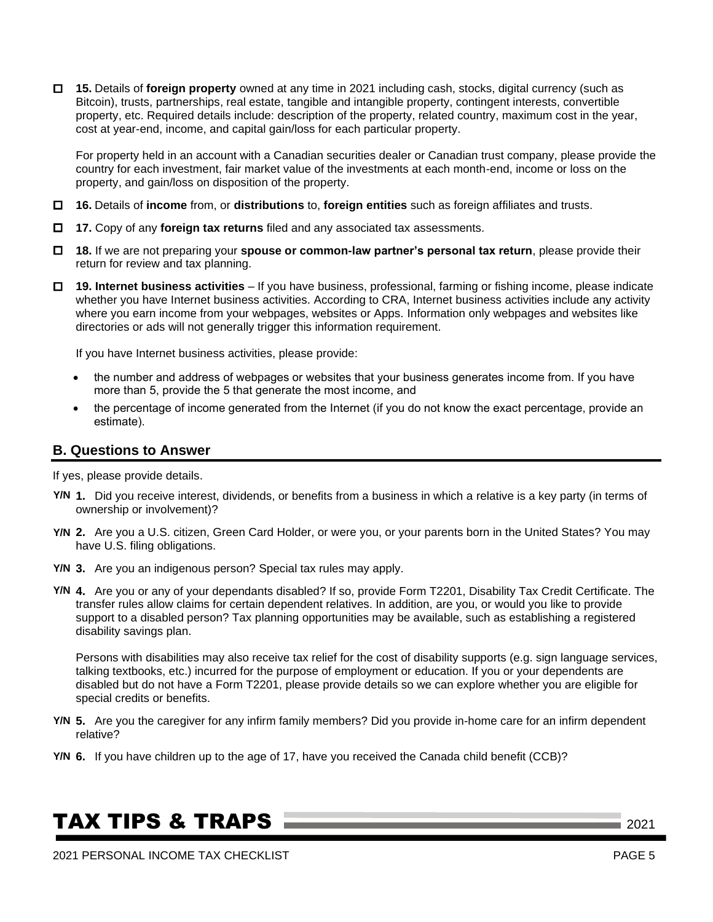**15.** Details of **foreign property** owned at any time in 2021 including cash, stocks, digital currency (such as Bitcoin), trusts, partnerships, real estate, tangible and intangible property, contingent interests, convertible property, etc. Required details include: description of the property, related country, maximum cost in the year, cost at year-end, income, and capital gain/loss for each particular property.

For property held in an account with a Canadian securities dealer or Canadian trust company, please provide the country for each investment, fair market value of the investments at each month-end, income or loss on the property, and gain/loss on disposition of the property.

- **16.** Details of **income** from, or **distributions** to, **foreign entities** such as foreign affiliates and trusts.
- **17.** Copy of any **foreign tax returns** filed and any associated tax assessments.
- **18.** If we are not preparing your **spouse or common-law partner's personal tax return**, please provide their return for review and tax planning.
- **19. Internet business activities** If you have business, professional, farming or fishing income, please indicate whether you have Internet business activities. According to CRA, Internet business activities include any activity where you earn income from your webpages, websites or Apps. Information only webpages and websites like directories or ads will not generally trigger this information requirement.

If you have Internet business activities, please provide:

- the number and address of webpages or websites that your business generates income from. If you have more than 5, provide the 5 that generate the most income, and
- the percentage of income generated from the Internet (if you do not know the exact percentage, provide an estimate).

#### **B. Questions to Answer**

If yes, please provide details.

- **1.** Did you receive interest, dividends, or benefits from a business in which a relative is a key party (in terms of **Y/N** ownership or involvement)?
- **2.** Are you a U.S. citizen, Green Card Holder, or were you, or your parents born in the United States? You may **Y/N** have U.S. filing obligations.
- **3.** Are you an indigenous person? Special tax rules may apply. **Y/N**
- **4.** Are you or any of your dependants disabled? If so, provide Form T2201, Disability Tax Credit Certificate. The **Y/N** transfer rules allow claims for certain dependent relatives. In addition, are you, or would you like to provide support to a disabled person? Tax planning opportunities may be available, such as establishing a registered disability savings plan.

Persons with disabilities may also receive tax relief for the cost of disability supports (e.g. sign language services, talking textbooks, etc.) incurred for the purpose of employment or education. If you or your dependents are disabled but do not have a Form T2201, please provide details so we can explore whether you are eligible for special credits or benefits.

- **5.** Are you the caregiver for any infirm family members? Did you provide in-home care for an infirm dependent **Y/N** relative?
- **6.** If you have children up to the age of 17, have you received the Canada child benefit (CCB)? **Y/N**